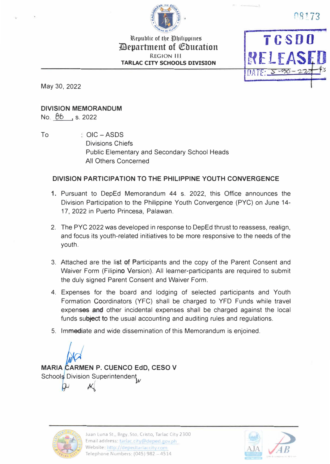

Republic of the Philippines *Penartment of Coucation* **REGION III TARLAC CITY SCHOOLS DIVISION** 

**TCSDO** DATE: 5-30

08173

May 30, 2022

## **DIVISION MEMORANDUM**

No. 88, s. 2022

To

 $COIC - ASDS$ **Divisions Chiefs Public Elementary and Secondary School Heads** All Others Concerned

# DIVISION PARTICIPATION TO THE PHILIPPINE YOUTH CONVERGENCE

- 1. Pursuant to DepEd Memorandum 44 s. 2022, this Office announces the Division Participation to the Philippine Youth Convergence (PYC) on June 14-17, 2022 in Puerto Princesa, Palawan.
- 2. The PYC 2022 was developed in response to DepEd thrust to reassess, realign, and focus its youth-related initiatives to be more responsive to the needs of the youth.
- 3. Attached are the list of Participants and the copy of the Parent Consent and Waiver Form (Filipino Version). All learner-participants are required to submit the duly signed Parent Consent and Waiver Form.
- 4. Expenses for the board and lodging of selected participants and Youth Formation Coordinators (YFC) shall be charged to YFD Funds while travel expenses and other incidental expenses shall be charged against the local funds subject to the usual accounting and auditing rules and regulations.
- 5. Immediate and wide dissemination of this Memorandum is enjoined.

**MARIA CARMEN P. CUENCO EdD. CESO V** Schools Division Superintendent



Juan Luna St., Brgy Sto, Cristo, Tarlac City 2300 Email address: tarlac.city@deped.gov.ph Website: http://depedtarlaccity.com Telephone Numbers: (045) 982 - 4514

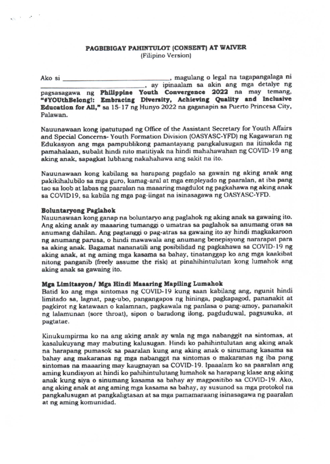## PAGBIBIGAY PAHINTULOT (CONSENT) AT WAIVER (Filipino Version)

, magulang o legal na tagapangalaga ni Ako si , ay ipinaalam sa akin ang mga detalye ng pagsasagawa ng Philippine Youth Convergence 2022 na may temang, "#YOUthBelong!: Embracing Diversity, Achieving Quality and Inclusive Education for All," sa 15-17 ng Hunyo 2022 na gaganapin sa Puerto Princesa City, Palawan.

Nauunawaan kong ipatutupad ng Office of the Assistant Secretary for Youth Affairs and Special Concerns- Youth Formation Division (OASYASC-YFD) ng Kagawaran ng Edukasyon ang mga pampublikong pamantayang pangkalusugan na itinakda ng pamahalaan, subalit hindi nito matitiyak na hindi mahahawahan ng COVID-19 ang aking anak, sapagkat lubhang nakahahawa ang sakit na ito.

Nauunawaan kong kabilang sa harapang pagdalo sa gawain ng aking anak ang pakikihalubilo sa mga guro, kamag-aral at mga empleyado ng paaralan, at iba pang tao sa loob at labas ng paaralan na maaaring magdulot ng pagkahawa ng aking anak sa COVID19, sa kabila ng mga pag-iingat na isinasagawa ng OASYASC-YFD.

#### **Boluntaryong Paglahok**

 $\mathbf{e}_{\mathcal{M}}$  ,  $\mathbf{e}_{\mathcal{M}}$  ,  $\mathbf{e}_{\mathcal{M}}$  ,  $\mathbf{e}_{\mathcal{M}}$ 

Nauunawaan kong ganap na boluntaryo ang paglahok ng aking anak sa gawaing ito. Ang aking anak ay maaaring tumanggi o umatras sa paglahok sa anumang oras sa anumang dahilan. Ang pagtanggi o pag-atras sa gawaing ito ay hindi magkakaroon ng anumang parusa, o hindi mawawala ang anumang benepisyong nararapat para sa aking anak. Bagamat nananatili ang posibilidad ng pagkahawa sa COVID-19 ng aking anak, at ng aming mga kasama sa bahay, tinatanggap ko ang mga kaakibat nitong panganib (freely assume the risk) at pinahihintulutan kong lumahok ang aking anak sa gawaing ito.

#### Mga Limitasyon/ Mga Hindi Maaaring Mapiling Lumahok

Batid ko ang mga sintomas ng COVID-19 kung saan kabilang ang, ngunit hindi limitado sa, lagnat, pag-ubo, pangangapos ng hininga, pagkapagod, pananakit at pagkirot ng katawaan o kalamnan, pagkawala ng panlasa o pang-amoy, pananakit ng lalamunan (sore throat), sipon o baradong ilong, pagduduwal, pagsusuka, at pagtatae.

Kinukumpirma ko na ang aking anak ay wala ng mga nabanggit na sintomas, at kasalukuyang may mabuting kalusugan. Hindi ko pahihintulutan ang aking anak na harapang pumasok sa paaralan kung ang aking anak o sinumang kasama sa bahay ang makaranas ng mga nabanggit na sintomas o makaranas ng iba pang sintomas na maaaring may kaugnayan sa COVID-19. Ipaaalam ko sa paaralan ang aming kundisyon at hindi ko pahihintulutang lumahok sa harapang klase ang aking anak kung siya o sinumang kasama sa bahay ay magpositibo sa COVID-19. Ako, ang aking anak at ang aming mga kasama sa bahay, ay susunod sa mga protokol na pangkalusugan at pangkaligtasan at sa mga pamamaraang isinasagawa ng paaralan at ng aming komunidad.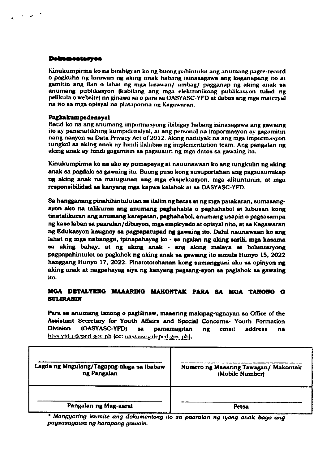#### **Debugeatoryea**

 $\mathcal{A}=\mathcal{A}$  ,  $\mathcal{A}=\mathcal{A}$ 

Kinukumpirma ko na binibigyan ko ng buong pahintulot ang anumang pagre-record o pagkuha ng larawan ng aking anak habang isinasagawa ang kaganapang ito at gamitin ang ilan o lahat ng mga larawan/ ambag/ pagganap ng aking anak sa anumang publikasyon (kabilang ang mga elektronikong publikasyon tulad ng pelikula o website) na ginawa sa o para sa OASYASC-YFD at ilabas ang mga materyal na ito sa mga opisyal na plataporma ng Kagawaran.

#### Pagkakumpedensyal

Batid ko na ang anumang impormasyong ibibigay habang isinasagawa ang gawaing ito ay pananatilihing kumpidensiyal, at ang personal na impormasyon ay gagamitin nang naayon sa Data Privacy Act of 2012. Aking natitiyak na ang mga impormasyon tungkol sa aking anak ay hindi ilalabas ng implementation team. Ang pangalan ng aking anak ay hindi gagamitin sa pagsusuri ng mga datos sa gawaing ito.

Kinukumpirma ko na ako ay pumapayag at nauunawaan ko ang tungkulin ng aking anak sa pagdalo sa gawaing ito. Buong puso kong susuportahan ang pagsusumikap ng aking anak na matugunan ang mga ekspektasyon, mga alituntunin, at mga responsibilidad sa kanyang mga kapwa kalahok at sa OASYASC-YFD.

Sa hangganang pinahihintulutan sa ilalim ng batas at ng mga patakaran, sumasangayon ako na talikuran ang anumang paghahabla o paghahabol at lubusan kong tinatalikuran ang anumang karapatan, paghahabol, anumang usapin o pagsasampa ng kaso laban sa paaralan/dibisyon, mga empleyado at opisyal nito, at sa Kagawaran ng Edukasyon kaugnay sa pagpapatupad ng gawaing ito. Dahil naunawaan ko ang lahat ng mga nabanggit, ipinapahayag ko - sa ngalan ng aking sarili, mga kasama sa aking bahay, at ng aking anak - ang aking malaya at boluntaryong pagpapahintulot sa paglahok ng aking anak sa gawaing ito simula Hunyo 15, 2022 hanggang Hunyo 17, 2022. Pinatototohanan kong sumangguni ako sa opinyon ng aking anak at nagpahayag siya ng kanyang pagsang-ayon sa paglahok sa gawaing ito.

### MGA DETALYENG MAAARING MAKONTAK PARA SA MGA TANONG O **SULIRANIN**

Para sa anumang tanong o paglilinaw, maaaring makipag-ugnayan sa Office of the Assistant Secretary for Youth Affairs and Special Concerns- Youth Formation **Division** (OASYASC-YFD) 38 pamamagitan  $n**g**$ email address na blss yfd adeped gov ph (cc: oasyaseadeped gov ph).

| Lagda ng Magulang/Tagapag-alaga sa Ibabaw | Numero ng Maaaring Tawagan/ Makontak |
|-------------------------------------------|--------------------------------------|
| ng Pangalan                               | (Mobile Number)                      |
| Pangalan ng Mag-aaral                     | Petsa                                |

\* Mangyaring isumite ang dokumentong ito sa paaralan ng iyong anak bago ang pagsasagawa ng harapang gawain.